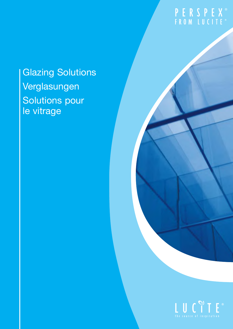# PERSPEX<sup>®</sup><br>FROM LUCITE®

## Glazing Solutions Verglasungen Solutions pour le vitrage

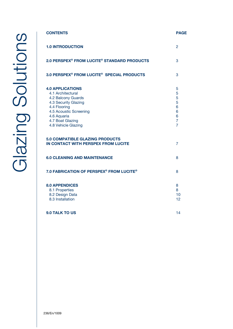| <b>CONTENTS</b>                                                                                                                                                                                | <b>PAGE</b>                                                         |
|------------------------------------------------------------------------------------------------------------------------------------------------------------------------------------------------|---------------------------------------------------------------------|
| <b>1.0 INTRODUCTION</b>                                                                                                                                                                        | $\mathcal{P}$                                                       |
| 2.0 PERSPEX <sup>®</sup> FROM LUCITE <sup>®</sup> STANDARD PRODUCTS                                                                                                                            | 3                                                                   |
| 3.0 PERSPEX <sup>®</sup> FROM LUCITE <sup>®</sup> SPECIAL PRODUCTS                                                                                                                             | 3                                                                   |
| <b>4.0 APPLICATIONS</b><br>4.1 Architectural<br>4.2 Balcony Guards<br>4.3 Security Glazing<br>4.4 Flooring<br>4.5 Acoustic Screening<br>4.6 Aquaria<br>4.7 Boat Glazing<br>4.8 Vehicle Glazing | 5<br>5<br>5<br>5<br>6<br>6<br>6<br>$\overline{7}$<br>$\overline{7}$ |
| <b>5.0 COMPATIBLE GLAZING PRODUCTS</b><br>IN CONTACT WITH PERSPEX FROM LUCITE                                                                                                                  | 7                                                                   |
| <b>6.0 CLEANING AND MAINTENANCE</b>                                                                                                                                                            | 8                                                                   |
| 7.0 FABRICATION OF PERSPEX <sup>®</sup> FROM LUCITE <sup>®</sup>                                                                                                                               | 8                                                                   |
| <b>8.0 APPENDICES</b><br>8.1 Properties<br>8.2 Design Data<br>8.3 Installation                                                                                                                 | 8<br>8<br>10<br>12                                                  |
| 9.0 TALK TO US                                                                                                                                                                                 | 14                                                                  |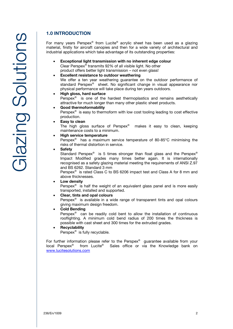## **1.0 INTRODUCTION**

For many years Perspex® from Lucite® acrylic sheet has been used as a glazing material, firstly for aircraft canopies and then for a wide variety of architectural and industrial applications which take advantage of its outstanding properties:

- **Exceptional light transmission with no inherent edge colour** Clear Perspex® transmits 92% of all visible light. No other product offers better light transmission – not even glass!
- **Excellent resistance to outdoor weathering** We offer a ten year weathering quarantee on the outdoor performance of standard Perspex® sheet. No significant change in visual appearance nor physical performance will take place during ten years outdoors.

### **High gloss, hard surface** Perspex<sup>®</sup> is one of the hardest thermoplastics and remains aesthetically

attractive for much longer than many other plastic sheet products.

### **Good thermoformability**

Perspex $\mathsf{e}$  is easy to thermoform with low cost tooling leading to cost effective production.

**Easy to clean**

The high gloss surface of Perspex® makes it easy to clean, keeping maintenance costs to a minimum.

### **High service temperature**

Perspex® has a maximum service temperature of 80-85°C minimising the risks of thermal distortion in service.

### **Safety**

Standard Perspex® is 5 times stronger than float glass and the Perspex® Impact Modified grades many times better again. It is internationally recognised as a safety glazing material meeting the requirements of ANSI Z.97 and BS 6262. Standard 3 mm

Perspex<sup>®</sup> is rated Class C to BS 6206 impact test and Class A for 8 mm and above thicknesses.

### **Low density**

Perspex $\mathscr{B}$  is half the weight of an equivalent glass panel and is more easily transported, installed and supported.

### **Clear, tints and opal colours**

Perspex $\delta$  is available in a wide range of transparent tints and opal colours giving maximum design freedom.

### **Cold Bending**

Perspex® can be readily cold bent to allow the installation of continuous rooflighting. A minimum cold bend radius of 200 times the thickness is possible with cast sheet and 300 times for the extruded grades.

 **Recyclability** Perspex® is fully recyclable.

For further information please refer to the Perspex® guarantee available from your local Perspex® from Lucite® Sales office or via the Knowledge bank on www.lucitesolutions.com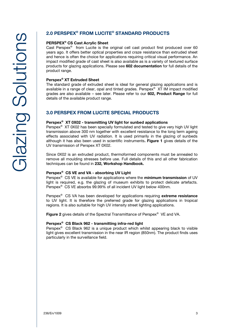### **2.0 PERSPEX® FROM LUCITE® STANDARD PRODUCTS**

**PERSPEX® CS Cast Acrylic Sheet** Cast Perspex® from Lucite is the original cell cast product first produced over 60 years ago. It offers better optical properties and craze resistance than extruded sheet and hence is often the choice for applications requiring critical visual performance. An impact modified grade of cast sheet is also available as is a variety of textured surface products for glazing applications. Please see **602 documentation** for full details of the product range.

**Perspex® XT Extruded Sheet** The standard grade of extruded sheet is ideal for general glazing applications and is available in a range of clear, opal and tinted grades. Perspex® XT IM impact modified grades are also available – see later. Please refer to our **602, Product Range** for full details of the available product range.

### **3.0 PERSPEX FROM LUCITE SPECIAL PRODUCTS**

**Perspex® XT 0X02 - transmitting UV light for sunbed applications** Perspex® XT 0X02 has been specially formulated and tested to give very high UV light transmission above 300 nm together with excellent resistance to the long term ageing effects associated with UV radiation. It is used primarily in the glazing of sunbeds although it has also been used in scientific instruments**. Figure 1** gives details of the UV transmission of Perspex XT 0X02.

Since 0X02 is an extruded product, thermoformed components must be annealed to remove all moulding stresses before use. Full details of this and all other fabrication techniques can be found in **232, Workshop Handbook.**

**Perspex® CS VE and VA - absorbing UV Light** Perspex® CS VE is available for applications where the **minimum transmission** of UV light is required, e.g. the glazing of museum exhibits to protect delicate artefacts. Perspex® CS VE absorbs 99.99% of all incident UV light below 400nm.

Perspex® CS VA has been developed for applications requiring **extreme resistance**  to UV light. It is therefore the preferred grade for glazing applications in tropical regions. It is also suitable for high UV intensity street lighting applications.

**Figure 2** gives details of the Spectral Transmittance of Perspex® VE and VA.

**Perspex® CS Black 962 - transmitting infra-red light** Perspex® CS Black 962 is a unique product which whilst appearing black to visible light gives excellent transmission in the near IR region (850nm). The product finds uses particularly in the surveillance field.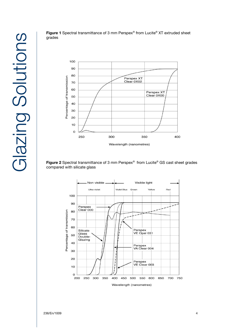

**Figure 1** Spectral transmittance of 3 mm Perspex® from Lucite® XT extruded sheet grades

**Figure 2** Spectral transmittance of 3 mm Perspex® from Lucite® GS cast sheet grades compared with silicate glass

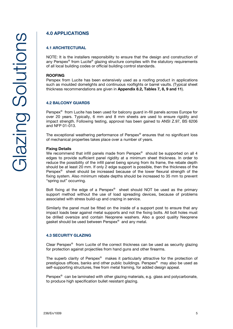## **4.0 APPLICATIONS**

## **4.1 ARCHITECTURAL**

NOTE: It is the installers responsibility to ensure that the design and construction of any Perspex® from Lucite® glazing structure complies with the statutory requirements of all local building codes or official building control standards.

#### **ROOFING**

Perspex from Lucite has been extensively used as a roofing product in applications such as moulded domelights and continuous rooflights or barrel vaults. (Typical sheet thickness recommendations are given in **Appendix 8.2, Tables 7, 8, 9 and 11**).

#### **4.2 BALCONY GUARDS 4.2 BALCONY GUARDS**

Perspex<sup>®</sup> from Lucite has been used for balcony guard in-fill panels across Europe for over 20 years. Typically, 6 mm and 8 mm sheets are used to ensure rigidity and impact strength. Following testing, approval has been gained to ANSI Z.97, BS 6206 and NFP 01-013.

The exceptional weathering performance of Perspex® ensures that no significant loss of mechanical properties takes place over a number of years.

**Fixing Details** We recommend that infill panels made from Perspex® should be supported on all 4 edges to provide sufficient panel rigidity at a minimum sheet thickness. In order to reduce the possibility of the infill panel being sprung from its frame, the rebate depth should be at least 20 mm. If only 2 edge support is possible, then the thickness of the Perspex $\delta$  sheet should be increased because of the lower flexural strength of the fixing system. Also minimum rebate depths should be increased to 35 mm to prevent "spring out" occurring.

Bolt fixing at the edge of a Perspex® sheet should NOT be used as the primary support method without the use of load spreading devices, because of problems associated with stress build-up and crazing in service.

Similarly the panel must be fitted on the inside of a support post to ensure that any impact loads bear against metal supports and not the fixing bolts. All bolt holes must be drilled oversize and contain Neoprene washers. Also a good quality Neoprene gasket should be used between Perspex® and any metal.

#### **4.3 SECURITY GLAZING**

Clear Perspex® from Lucite of the correct thickness can be used as security glazing for protection against projectiles from hand guns and other firearms.

The superb clarity of Perspex® makes it particularly attractive for the protection of prestigious offices, banks and other public buildings. Perspex® may also be used as self-supporting structures, free from metal framing, for added design appeal.

Perspex<sup>®</sup> can be laminated with other glazing materials, e.g. glass and polycarbonate, to produce high specification bullet resistant glazing.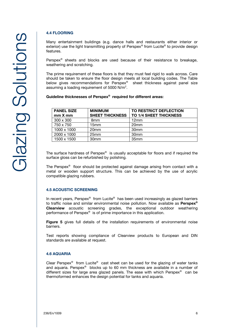### **4.4 FLOORING**

Many entertainment buildings (e.g. dance halls and restaurants either interior or exterior) use the light transmitting property of Perspex® from Lucite® to provide design features.

Perspex<sup>®</sup> sheets and blocks are used because of their resistance to breakage, weathering and scratching.

The prime requirement of these floors is that they must feel rigid to walk across. Care should be taken to ensure the floor design meets all local building codes. The Table below gives recommendations for Perspex® sheet thickness against panel size assuming a loading requirement of 5000 N/m<sup>2</sup>.

**Guideline thicknesses of Perspex® required for different areas:**

| <b>PANEL SIZE</b><br>$mmX$ mm | <b>MINIMUM</b><br><b>SHEET THICKNESS</b> | TO RESTRICT DEFLECTION<br><b>TO 1/4 SHEET THICKNESS</b> |
|-------------------------------|------------------------------------------|---------------------------------------------------------|
| $300 \times 300$              | 8 <sub>mm</sub>                          | 12mm                                                    |
| 750 x 750                     | 15mm                                     | 20 <sub>mm</sub>                                        |
| 1000 x 1000                   | 20 <sub>mm</sub>                         | 30 <sub>mm</sub>                                        |
| 2000 x 1000                   | 25mm                                     | 30 <sub>mm</sub>                                        |
| 1500 x 1500                   | 30 <sub>mm</sub>                         | 35 <sub>mm</sub>                                        |

The surface hardness of Perspex® is usually acceptable for floors and if required the surface gloss can be refurbished by polishing.

The Perspex® floor should be protected against damage arising from contact with a metal or wooden support structure. This can be achieved by the use of acrylic compatible glazing rubbers.

#### **4.5 ACOUSTIC SCREENING 4.5 ACOUSTIC SCREENING**

In recent years, Perspex® from Lucite® has been used increasingly as glazed barriers to traffic noise and similar environmental noise pollution. Now available as **Perspex® Clearview** acoustic screening grades, the exceptional outdoor weathering performance of Perspex<sup>®</sup> is of prime importance in this application.

**Figure 5** gives full details of the installation requirements of environmental noise barriers.

Test reports showing compliance of Clearview products to European and DIN standards are available at request.

#### **4.6 AQUARIA 4.6 AQUARIA**

Clear Perspex® from Lucite® cast sheet can be used for the glazing of water tanks and aquaria. Perspex<sup>®</sup> blocks up to 60 mm thickness are available in a number of different sizes for large area glazed panels. The ease with which Perspex<sup>®</sup> can be thermoformed enhances the design potential for tanks and aquaria.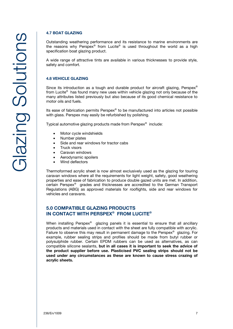#### **4.7 BOAT GLAZING**

Outstanding weathering performance and its resistance to marine environments are the reasons why Perspex® from Lucite® is used throughout the world as a high specification boat glazing product.

A wide range of attractive tints are available in various thicknesses to provide style, safety and comfort.

Since its introduction as a tough and durable product for aircraft glazing, Perspex<sup>®</sup> from Lucite® has found many new uses within vehicle glazing not only because of the many attributes listed previously but also because of its good chemical resistance to motor oils and fuels.

Its ease of fabrication permits Perspex® to be manufactured into articles not possible with glass. Perspex may easily be refurbished by polishing.

Typical automotive glazing products made from Perspex® include:

- Motor cycle windshields
- Number plates
- Side and rear windows for tractor cabs
- Truck visors
- Caravan windows
- Aerodynamic spoilers
- Wind deflectors

Thermoformed acrylic sheet is now almost exclusively used as the glazing for touring caravan windows where all the requirements for light weight, safety, good weathering properties and ease of fabrication to produce double gazed units are met. In addition, certain Perspex® grades and thicknesses are accredited to the German Transport Regulations (ABG) as approved materials for rooflights, side and rear windows for vehicles and caravans.

### **5.0 COMPATIBLE GLAZING PRODUCTS IN CONTACT WITH PERSPEY® FROM LI IN CONTACT WITH PERSPEX® FROM LUCITE®**

When installing Perspex<sup>®</sup> glazing panels it is essential to ensure that all ancillary products and materials used in contact with the sheet are fully compatible with acrylic. Failure to observe this may result in permanent damage to the Perspex® glazing. For example, rubber sealing strips and profiles should be made from butyl rubber or polysulphide rubber. Certain EPDM rubbers can be used as alternatives, as can compatible silicone sealants, **but in all cases it is important to seek the advice of used under any circumstances as these are known to cause stress crazing of** acrylic sheets. **acrylic sheets.**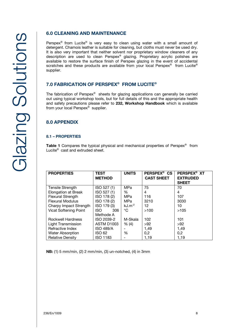## **6.0 CLEANING AND MAINTENANCE**

Perspex® from Lucite® is very easy to clean using water with a small amount of detergent. Chamois leather is suitable for cleaning, but cloths must never be used dry. It is also very important that neither solvent nor proprietary window cleaners of any description are used to clean Perspex® glazing. Proprietary acrylic polishes are available to restore the surface finish of Perspex glazing in the event of accidental scratches and these products are available from your local Perspex® from Lucite® supplier.

### **7.0 FABRICATION OF PERSPEX® FROM LUCITE®**

The fabrication of Perspex® sheets for glazing applications can generally be carried out using typical workshop tools, but for full details of this and the appropriate health and safety precautions please refer to **232, Workshop Handbook** which is available from your local Perspex® supplier.

### **8.0 APPENDIX**

#### **8.1 - PROPERTIES 8.1 – PROPERTIES**

**Table 1** Compares the typical physical and mechanical properties of Perspex<sup>®</sup> from<br>Lucite® cast and extruded sheet Lucite® cast and extruded sheet.

| <b>PROPERTIES</b>            | <b>TEST</b><br><b>METHOD</b> | <b>UNITS</b> | PERSPEX <sup>®</sup> CS<br><b>CAST SHEET</b> | PERSPEX <sup>®</sup> XT<br><b>EXTRUDED</b><br><b>SHEET</b> |
|------------------------------|------------------------------|--------------|----------------------------------------------|------------------------------------------------------------|
| <b>Tensile Strength</b>      | ISO 527 (1)                  | MPa          | 75                                           | 70                                                         |
| <b>Elongation at Break</b>   | ISO 527 (1)                  | %            | 4                                            | 4                                                          |
| <b>Flexural Strength</b>     | ISO 178 (2)                  | MPa          | 116                                          | 107                                                        |
| <b>Flexural Modulus</b>      | ISO 178 (2)                  | MPa          | 3210                                         | 3030                                                       |
| Charpy Impact Strength       | ISO 179 (3)                  | $kJ.m^{-2}$  | 12                                           | 10                                                         |
| <b>Vicat Softening Point</b> | ISO.<br>306                  | °C           | >100                                         | >105                                                       |
|                              | Methode A                    |              |                                              |                                                            |
| Rockwell Hardness            | ISO 2039-2                   | M-Skala      | 102                                          | 101                                                        |
| Light Transmission           | ASTM D1003                   | % (4)        | >92                                          | >92                                                        |
| Refractive Index             | <b>ISO 489/A</b>             |              | 1,49                                         | 1,49                                                       |
| <b>Water Absorption</b>      | <b>ISO 62</b>                | %            | 0,2                                          | 0,2                                                        |
| <b>Relative Density</b>      | <b>ISO 1183</b>              |              | 1,19                                         | 1,19                                                       |

**NB:** (1) 5 mm/min, (2) 2 mm/min, (3) un-notched, (4) in 3mm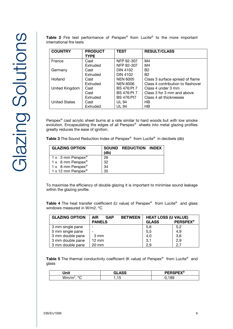| international fire tests |                               |                 |                                 |
|--------------------------|-------------------------------|-----------------|---------------------------------|
| <b>COUNTRY</b>           | <b>PRODUCT</b><br><b>TYPE</b> | <b>TEST</b>     | <b>RESULT/CLASS</b>             |
| France                   | Cast                          | NFP 92-307      | M4                              |
|                          | Extruded                      | NFP 92-307      | M4                              |
| Germany                  | Cast                          | DIN 4102        | B <sub>2</sub>                  |
|                          | Extruded                      | <b>DIN 4102</b> | B <sub>2</sub>                  |
| Holland                  | Cast                          | <b>NEN 6005</b> | Class 3 surface spread of flame |

Extruded NEN 6006 Class 4 contribution to flashover<br>Cast BS 476:Pt 7 Class 4 under 3 mm

Extruded **BS 476:Pt7** Class 4 all thicknesses

BS 476:Pt 7  $\Big|$  Class 3 for 3 mm and above<br>BS 476:Pt7  $\Big|$  Class 4 all thicknesses

**Table 2** Fire test performance of Perspex® from Lucite® to the more important international fire tests

Perspex® cast acrylic sheet burns at a rate similar to hard woods but with low smoke evolution. Encapsulating the edges of all Perspex® sheets into metal glazing profiles greatly reduces the ease of ignition.

**Table 3** The Sound Reduction Index of Perspex® from Lucite® in decibels (db)

United Kingdom Cast BS 476:Pt 7 Class 4 under 3 mm<br>Cast BS 476:Pt 7 Class 3 for 3 mm and

Extruded UL 94 HB

United States | Cast | UL 94 | HB

| <b>GLAZING OPTION</b>          | (db) | SOUND REDUCTION INDEX |  |
|--------------------------------|------|-----------------------|--|
| 1 x 3 mm Perspex <sup>®</sup>  | 26   |                       |  |
| 1 x 6 mm Perspex <sup>®</sup>  | 32   |                       |  |
| 1 x 8 mm Perspex <sup>®</sup>  | 34   |                       |  |
| 1 x 12 mm Perspex <sup>®</sup> | 35   |                       |  |

To maximise the efficiency of double glazing it is important to minimise sound leakage within the glazing profile.

**Table 4** The heat transfer coefficient (U value) of Perspex® from Lucite® and glass windows measured in W/m2. ºC

| <b>GLAZING OPTION</b> | <b>BETWEEN</b><br><b>AIR</b><br><b>GAP</b> | <b>HEAT LOSS (U VALUE)</b> |                 |
|-----------------------|--------------------------------------------|----------------------------|-----------------|
|                       | <b>PANELS</b>                              | <b>GLASS</b>               | <b>PERSPEX®</b> |
| 3 mm single pane      |                                            | 5,6                        | 5,2             |
| 5 mm single pane      |                                            | 5,5                        | 4,9             |
| 3 mm double pane      | 3 mm                                       | 4,0                        | 3,6             |
| 3 mm double pane      | $12 \, \text{mm}$                          | 3,1                        | 2,9             |
| 3 mm double pane      | $20 \text{ mm}$                            | 2.9                        | 2,7             |

**Table 5** The thermal conductivity coefficient (K value) of Perspex® from Lucite® and glass

| Jnit                     | <b>ACC</b><br>G۱ | cnencv®  |
|--------------------------|------------------|----------|
| $\circ$<br>. .<br><br>୵៶ | v                | oc<br>oε |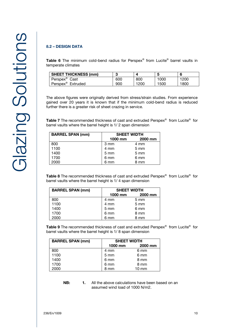### **8.2 - DESIGN DATA**

**Table 6** The minimum cold-bend radius for Perspex® from Lucite® barrel vaults in temperate climates

| <b>SHEET THICKNESS (mm)</b>   |     |      | b    |      |
|-------------------------------|-----|------|------|------|
| Perspex <sup>®</sup><br>Cast  | 600 | 800  | 1000 | 1200 |
| Perspex <sup>®</sup> Extruded | 900 | 1200 | 1500 | 1800 |

The above figures were originally derived from stress/strain studies. From experience gained over 20 years it is known that if the minimum cold-bend radius is reduced further there is a greater risk of sheet crazing in service.

**Table 7** The recommended thickness of cast and extruded Perspex® from Lucite® for<br>harrel vaults where the barrel height is 1/ 2 span dimension barrel vaults where the barrel height is 1/ 2 span dimension

| <b>BARREL SPAN (mm)</b> | <b>SHEET WIDTH</b> |                  |  |
|-------------------------|--------------------|------------------|--|
|                         | 1000 mm            | 2000 mm          |  |
| 800                     | 3 mm               | 4 mm             |  |
| 1100                    | 4 mm               | $5 \, \text{mm}$ |  |
| 1400                    | 5 mm               | $5 \, \text{mm}$ |  |
| 1700                    | 6 mm               | 6 mm             |  |
| 2000                    | 6 mm               | 8 mm             |  |

**Table 8** The recommended thickness of cast and extruded Perspex<sup>®</sup> from Lucite<sup>®</sup> for<br>barrel vaults where the barrel height is 1/4 span dimension barrel vaults where the barrel height is 1/ 4 span dimension

| <b>BARREL SPAN (mm)</b> |                  | <b>SHEET WIDTH</b> |  |  |
|-------------------------|------------------|--------------------|--|--|
|                         | 1000 mm          | 2000 mm            |  |  |
| 800                     | 4 mm             | $5 \text{ mm}$     |  |  |
| 1100                    | 4 mm             | $5 \text{ mm}$     |  |  |
| 1400                    | $5 \, \text{mm}$ | 6 mm               |  |  |
| 1700                    | 6 mm             | 8 mm               |  |  |
| 2000                    | 6 mm             | 8 mm               |  |  |

**Table 9** The recommended thickness of cast and extruded Perspex<sup>®</sup> from Lucite<sup>®</sup> for<br>harrel vaults where the barrel height is 1/ 8 span dimension barrel vaults where the barrel height is 1/ 8 span dimension

| <b>BARREL SPAN (mm)</b> | <b>SHEET WIDTH</b> |         |  |
|-------------------------|--------------------|---------|--|
|                         | $1000$ mm          | 2000 mm |  |
| 800                     | 4 mm               | 6 mm    |  |
| 1100                    | $5 \text{ mm}$     | 6 mm    |  |
| 1400                    | 6 mm               | 8 mm    |  |
| 1700                    | 6 mm               | 8 mm    |  |
| 2000                    | 8 mm               | 10 mm   |  |

**NB:** 1. All the above calculations have been based on an assumed wind load of 1000 N/m2.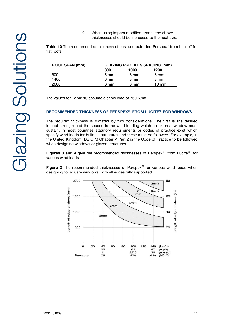**2.** When using impact modified grades the above thicknesses should be increased to the next size.

**Table 10** The recommended thickness of cast and extruded Perspex® from Lucite® for<br>flat roofs flat roofs

| <b>ROOF SPAN (mm)</b> | <b>GLAZING PROFILES SPACING (mm)</b> |      |                 |  |
|-----------------------|--------------------------------------|------|-----------------|--|
|                       | 800                                  | 1000 | 1200            |  |
| 800                   | $5 \text{ mm}$                       | 6 mm | 6 mm            |  |
| 1400                  | 6 mm                                 | 8 mm | 8 mm            |  |
| 2000                  | 6 mm                                 | 8 mm | $10 \text{ mm}$ |  |

The values for **Table 10** assume a snow load of 750 N/m2.

### **RECOMMENDED THICKNESS OF PERSPEX® FROM LUCITE® FOR WINDOWS**

The required thickness is dictated by two considerations. The first is the desired impact strength and the second is the wind loading which an external window must sustain. In most countries statutory requirements or codes of practice exist which specify wind loads for building structures and these must be followed. For example, in the United Kingdom, BS CP3 Chapter V Part 2 is the Code of Practice to be followed when designing windows or glazed structures.

**Figures 3 and 4** give the recommended thicknesses of Perspex<sup>®</sup> from Lucite<sup>®</sup> for<br>various wind loads various wind loads.

**Figure 3** The recommended thicknesses of Perspex<sup>®</sup> for various wind loads when designing for square windows with all edges fully supported designing for square windows, with all edges fully supported

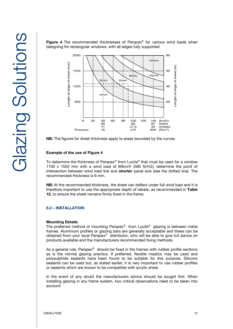



**NB:** The figures for sheet thickness apply to areas bounded by the curves

## **Example of the use of Figure 4**

To determine the thickness of Perspex® from Lucite® that must be used for a window 1100 x 1520 mm with a wind load of 90km/h (380 N/m2), determine the point of intersection between wind load line and **shorter** panel size (see the dotted line). The recommended thickness is 6 mm.

**NB:** At the recommended thickness, the sheet can deflect under full wind load and it is therefore important to use the appropriate depth of rebate, as recommended in **Table 12,** to ensure the sheet remains firmly fixed in the frame.

### **8.3 – INSTALLATION**

**Mounting Details** The preferred method of mounting Perspex® from Lucite® glazing is between metal frames. Aluminium profiles or glazing bars are generally acceptable and these can be obtained from your local Perspex® distributor, who will be able to give full advice on products available and the manufacturers recommended fixing methods.

As a general rule, Perspex® should be fixed in the frames with rubber profile sections as is the normal glazing practice. If preferred, flexible mastics may be used and polysulphide sealants have been found to be suitable for this purpose. Silicone sealants can be used but, as stated earlier, it is very important to use rubber profiles or sealants which are known to be compatible with acrylic sheet.

In the event of any doubt the manufacturers advice should be sought first. When installing glazing in any frame system, two critical observations need to be taken into account: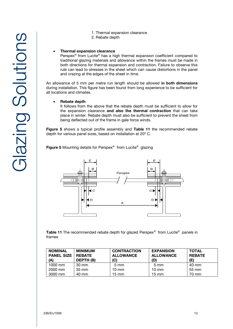Glazing Solutions Glazing Solutions

- 1. Thermal expansion clearance
- 2. Rebate depth

### **Thermal expansion clearance**

Perspex® from Lucite® has a high thermal expansion coefficient compared to traditional glazing materials and allowance within the frames must be made in both directions for thermal expansion and contraction. Failure to observe this rule can lead to stresses in the sheet which can cause distortions in the panel and crazing at the edges of the sheet in time.

An allowance of 5 mm per metre run length should be allowed **in both dimensions**  during installation. This figure has been found from long experience to be sufficient for all locations and climates.

#### **Rebate depth**

It follows from the above that the rebate depth must be sufficient to allow for the expansion clearance **and also the thermal contraction** that can take place in winter. Rebate depth must also be sufficient to prevent the sheet from being deflected out of the frame in gale force winds.

**Figure 5** shows a typical profile assembly and **Table 11** the recommended rebate depth for various panel sizes, based on installation at 20º C.

**Figure 5** Mounting details for Perspex® from Lucite® glazing



**Table 11** The recommended rebate depth for glazed Perspex® from Lucite® panels in frames

| <b>NOMINAL</b><br><b>PANEL SIZE</b><br>(A) | <b>MINIMUM</b><br>I REBATE<br>DEPTH (B) | <b>CONTRACTION</b><br><b>ALLOWANCE</b><br>(C) | <b>EXPANSION</b><br><b>ALLOWANCE</b><br>(D) | <b>TOTAL</b><br><b>REBATE</b><br>(E) |
|--------------------------------------------|-----------------------------------------|-----------------------------------------------|---------------------------------------------|--------------------------------------|
| 1000 mm                                    | 30 mm                                   | $5 \text{ mm}$                                | $5 \text{ mm}$                              | 40 mm                                |
| 2000 mm                                    | 35 mm                                   | 10 mm                                         | $10 \text{ mm}$                             | 55 mm                                |
| 3000 mm                                    | 40 mm                                   | 15 mm                                         | $15 \text{ mm}$                             | 70 mm                                |